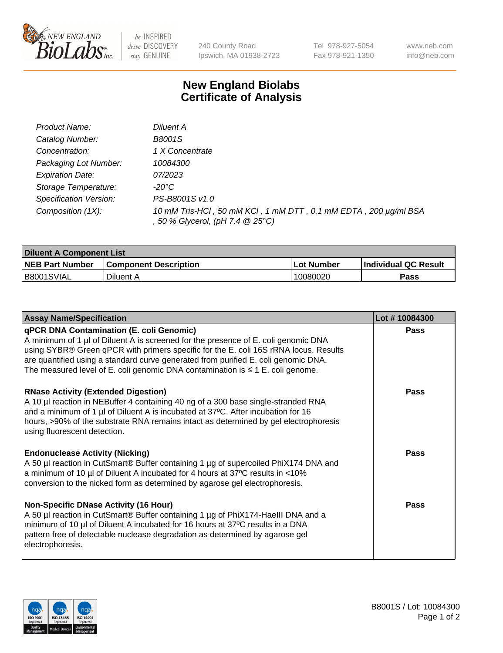

 $be$  INSPIRED drive DISCOVERY stay GENUINE

240 County Road Ipswich, MA 01938-2723 Tel 978-927-5054 Fax 978-921-1350 www.neb.com info@neb.com

## **New England Biolabs Certificate of Analysis**

| Product Name:           | Diluent A                                                                                           |
|-------------------------|-----------------------------------------------------------------------------------------------------|
| Catalog Number:         | B8001S                                                                                              |
| Concentration:          | 1 X Concentrate                                                                                     |
| Packaging Lot Number:   | 10084300                                                                                            |
| <b>Expiration Date:</b> | 07/2023                                                                                             |
| Storage Temperature:    | -20°C                                                                                               |
| Specification Version:  | PS-B8001S v1.0                                                                                      |
| Composition (1X):       | 10 mM Tris-HCl, 50 mM KCl, 1 mM DTT, 0.1 mM EDTA, 200 µg/ml BSA<br>, 50 % Glycerol, (pH 7.4 @ 25°C) |

| <b>Diluent A Component List</b> |                              |                   |                      |  |
|---------------------------------|------------------------------|-------------------|----------------------|--|
| <b>NEB Part Number</b>          | <b>Component Description</b> | <b>Lot Number</b> | Individual QC Result |  |
| B8001SVIAL                      | Diluent A                    | 10080020          | Pass                 |  |

| <b>Assay Name/Specification</b>                                                                                                                                                                                                                                                                                                                                                                            | Lot #10084300 |
|------------------------------------------------------------------------------------------------------------------------------------------------------------------------------------------------------------------------------------------------------------------------------------------------------------------------------------------------------------------------------------------------------------|---------------|
| <b>qPCR DNA Contamination (E. coli Genomic)</b><br>A minimum of 1 µl of Diluent A is screened for the presence of E. coli genomic DNA<br>using SYBR® Green qPCR with primers specific for the E. coli 16S rRNA locus. Results<br>are quantified using a standard curve generated from purified E. coli genomic DNA.<br>The measured level of E. coli genomic DNA contamination is $\leq 1$ E. coli genome. | <b>Pass</b>   |
| <b>RNase Activity (Extended Digestion)</b><br>A 10 µl reaction in NEBuffer 4 containing 40 ng of a 300 base single-stranded RNA<br>and a minimum of 1 µl of Diluent A is incubated at 37°C. After incubation for 16<br>hours, >90% of the substrate RNA remains intact as determined by gel electrophoresis<br>using fluorescent detection.                                                                | Pass          |
| <b>Endonuclease Activity (Nicking)</b><br>A 50 µl reaction in CutSmart® Buffer containing 1 µg of supercoiled PhiX174 DNA and<br>a minimum of 10 µl of Diluent A incubated for 4 hours at 37°C results in <10%<br>conversion to the nicked form as determined by agarose gel electrophoresis.                                                                                                              | Pass          |
| <b>Non-Specific DNase Activity (16 Hour)</b><br>A 50 µl reaction in CutSmart® Buffer containing 1 µg of PhiX174-HaeIII DNA and a<br>minimum of 10 µl of Diluent A incubated for 16 hours at 37°C results in a DNA<br>pattern free of detectable nuclease degradation as determined by agarose gel<br>electrophoresis.                                                                                      | Pass          |